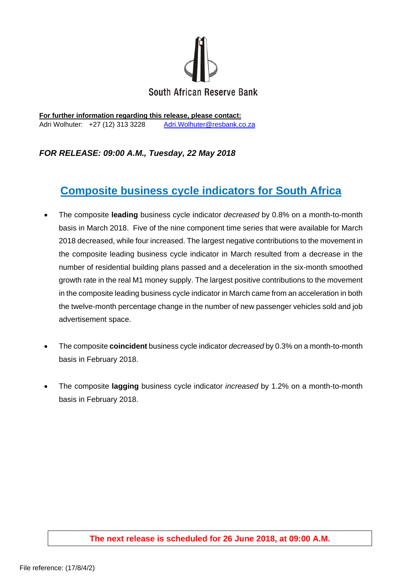

**For further information regarding this release, please contact:**  Adri Wolhuter: +27 (12) 313 3228 Adri. Wolhuter@resbank.co.za

## *FOR RELEASE: 09:00 A.M., Tuesday, 22 May 2018*

## **Composite business cycle indicators for South Africa**

- The composite **leading** business cycle indicator *decreased* by 0.8% on a month-to-month basis in March 2018. Five of the nine component time series that were available for March 2018 decreased, while four increased. The largest negative contributions to the movement in the composite leading business cycle indicator in March resulted from a decrease in the number of residential building plans passed and a deceleration in the six-month smoothed growth rate in the real M1 money supply. The largest positive contributions to the movement in the composite leading business cycle indicator in March came from an acceleration in both the twelve-month percentage change in the number of new passenger vehicles sold and job advertisement space.
- The composite **coincident** business cycle indicator *decreased* by 0.3% on a month-to-month basis in February 2018.
- The composite **lagging** business cycle indicator *increased* by 1.2% on a month-to-month basis in February 2018.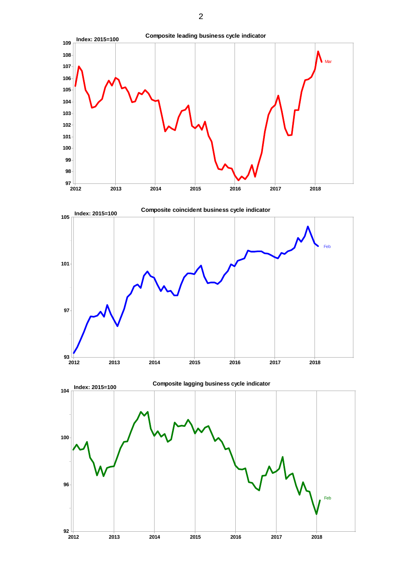